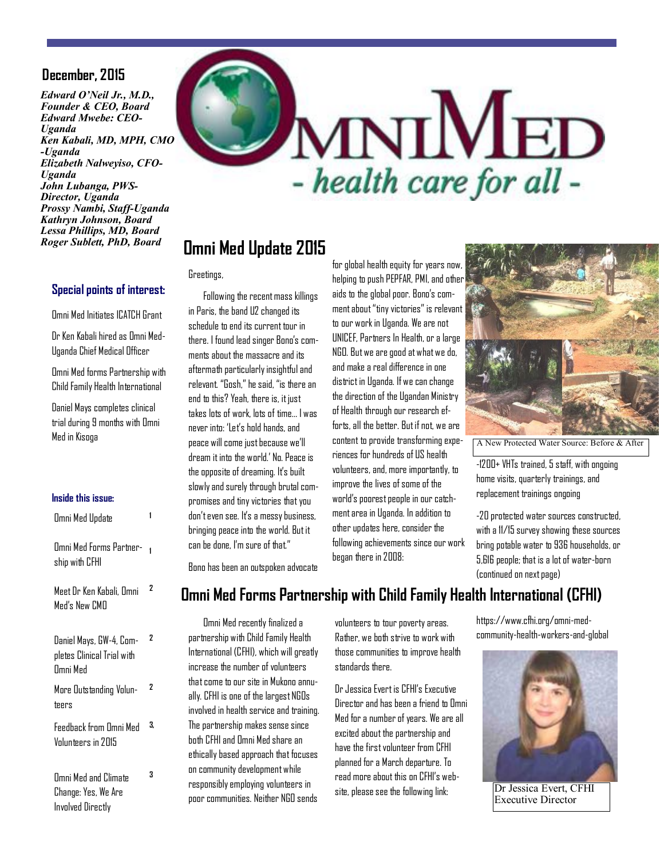#### **December, 2015**

*Edward O'Neil Jr., M.D., Founder & CEO, Board Edward Mwebe: CEO-Uganda Ken Kabali, MD, MPH, CMO -Uganda Elizabeth Nalweyiso, CFO-Uganda John Lubanga, PWS-Director, Uganda Prossy Nambi, Staff-Uganda Kathryn Johnson, Board Lessa Phillips, MD, Board Roger Sublett, PhD, Board*

# MNIMED Microsoft - health care for all -

### **Omni Med Update 2015**

**Omni Med Update 2015**

Greetings,

 Following the recent mass killings in Paris, the band U2 changed its schedule to end its current tour in there. I found lead singer Bono's comments about the massacre and its aftermath particularly insightful and relevant. "Gosh," he said, "is there an end to this? Yeah, there is, it just takes lots of work, lots of time… I was never into: 'Let's hold hands, and peace will come just because we'll dream it into the world.' No. Peace is the opposite of dreaming. It's built slowly and surely through brutal compromises and tiny victories that you don't even see. It's a messy business, bringing peace into the world. But it can be done. I'm sure of that."

for global health equity for years now, helping to push PEPFAR, PMI, and other aids to the global poor. Bono's comment about "tiny victories" is relevant to our work in Uganda. We are not UNICEF, Partners In Health, or a large NGO. But we are good at what we do, and make a real difference in one district in Uganda. If we can change the direction of the Ugandan Ministry of Health through our research efforts, all the better. But if not, we are content to provide transforming experiences for hundreds of US health volunteers, and, more importantly, to improve the lives of some of the world's poorest people in our catchment area in Uganda. In addition to other updates here, consider the following achievements since our work began there in 2008:



A New Protected Water Source: Before & After

-1200+ VHTs trained, 5 staff, with ongoing home visits, quarterly trainings, and replacement trainings ongoing

-20 protected water sources constructed, with a 11/15 survey showing these sources bring potable water to 936 households, or 5,616 people; that is a lot of water-born (continued on next page)

Bono has been an outspoken advocate

# **Omni Med Forms Partnership with Child Family Health International (CFHI)**

 Omni Med recently finalized a partnership with Child Family Health International (CFHI), which will greatly increase the number of volunteers that come to our site in Mukono annually. CFHI is one of the largest NGOs involved in health service and training. The partnership makes sense since both CFHI and Omni Med share an ethically based approach that focuses on community development while responsibly employing volunteers in poor communities. Neither NGO sends

volunteers to tour poverty areas. Rather, we both strive to work with those communities to improve health standards there.

Dr Jessica Evert is CFHI's Executive Director and has been a friend to Omni Med for a number of years. We are all excited about the partnership and have the first volunteer from CFHI planned for a March departure. To read more about this on CFHI's website, please see the following link:

https://www.cfhi.org/omni-medcommunity-health-workers-and-global



Dr Jessica Evert, CFHI Executive Director

#### **Special points of interest:**

Omni Med Initiates ICATCH Grant

Dr Ken Kabali hired as Omni Med-Uganda Chief Medical Officer

Omni Med forms Partnership with Child Family Health International

Daniel Mays completes clinical trial during 9 months with Omni Med in Kisoga

#### **Inside this issue:**

| Omni Med Update                                                   |    |
|-------------------------------------------------------------------|----|
| Omni Med Forms Partner-<br>ship with CFHI                         | 1  |
| Meet Dr Ken Kabali, Omni<br>Med's New CMN                         | 2  |
| Daniel Mays, GW-4, Com-<br>pletes Clinical Trial with<br>Omni Med | 2  |
| More Outstanding Volun-<br>teers                                  | 2  |
| Feedback from Omni Med<br>Volunteers in 2015                      | 3. |
| <b>Omni Med and Climate</b><br>Change: Yes, We Are                | 3  |

Involved Directly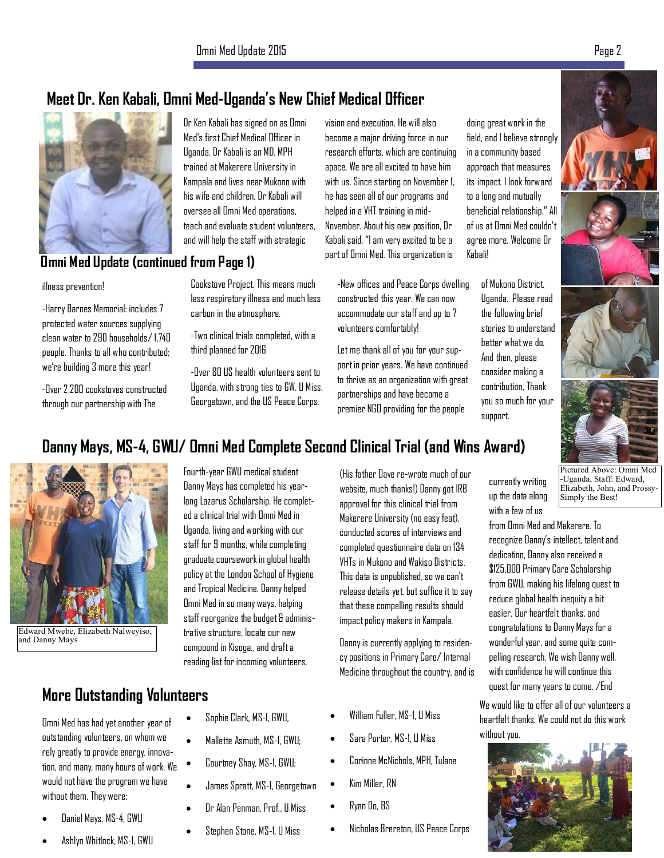# **Meet Dr. Ken Kabali, Omni Med-Uganda's New Chief Medical Officer**



Dr Ken Kabali has signed on as Omni Med's first Chief Medical Officer in Uganda. Dr Kabali is an MD, MPH trained at Makerere University in Kampala and lives near Mukono with his wife and children. Dr Kabali will oversee all Omni Med operations, teach and evaluate student volunteers, and will help the staff with strategic

# **Omni Med Update (continued from Page 1)**

#### illness prevention!

-Harry Barnes Memorial: includes 7 protected water sources supplying clean water to 290 households/ 1,740 people. Thanks to all who contributed; we're building 3 more this year!

-Over 2,200 cookstoves constructed through our partnership with The

Cookstove Project. This means much less respiratory illness and much less carbon in the atmosphere.

-Two clinical trials completed, with a third planned for 2016

-Over 80 US health volunteers sent to Uganda, with strong ties to GW, U Miss, Georgetown, and the US Peace Corps.

vision and execution. He will also become a major driving force in our research efforts, which are continuing apace. We are all excited to have him with us. Since starting on November 1, he has seen all of our programs and helped in a VHT training in mid-November. About his new position, Dr Kabali said, "I am very excited to be a part of Omni Med. This organization is

-New offices and Peace Corps dwelling constructed this year. We can now accommodate our staff and up to 7 volunteers comfortably!

Let me thank all of you for your support in prior years. We have continued to thrive as an organization with great partnerships and have become a premier NGO providing for the people

doing great work in the field, and I believe strongly in a community based approach that measures its impact. I look forward to a long and mutually beneficial relationship." All of us at Omni Med couldn't agree more. Welcome Dr Kabali!

> of Mukono District, Uganda. Please read the following brief stories to understand better what we do. And then, please consider making a contribution, Thank you so much for your support.



#### currently writing up the data along Pictured Above: Omni Med -Uganda, Staff: Edward, Elizabeth, John, and Prossy-Simply the Best!

with a few of us from Omni Med and Makerere. To recognize Danny's intellect, talent and dedication, Danny also received a \$125,000 Primary Care Scholarship from GWU, making his lifelong quest to reduce global health inequity a bit easier. Our heartfelt thanks, and congratulations to Danny Mays for a wonderful year, and some quite compelling research. We wish Danny well, with confidence he will continue this quest for many years to come. /End

We would like to offer all of our volunteers a heartfelt thanks. We could not do this work without you.



# **Danny Mays, MS-4, GWU/ Omni Med Complete Second Clinical Trial (and Wins Award)**



Edward Mwebe, Elizabeth Nalweyiso, and Danny Mays

# **More Outstanding Volunteers**

Omni Med has had yet another year of outstanding volunteers, on whom we rely greatly to provide energy, innovation, and many, many hours of work. We would not have the program we have without them. They were:

- Daniel Mays, MS-4, GWU
- Ashlyn Whitlock, MS-1, GWU

Fourth-year GWU medical student Danny Mays has completed his yearlong Lazarus Scholarship. He completed a clinical trial with Omni Med in Uganda, living and working with our staff for 9 months, while completing graduate coursework in global health policy at the London School of Hygiene and Tropical Medicine. Danny helped Omni Med in so many ways, helping staff reorganize the budget & administrative structure, locate our new compound in Kisoga., and draft a reading list for incoming volunteers.

x Sophie Clark, MS-1, GWU,

x Mallette Asmuth, MS-1, GWU;

x Courtney Shay, MS-1, GWU;

x James Spratt, MS-1, Georgetown

Dr Alan Penman, Prof., U Miss

Stephen Stone, MS-1, U Miss

(His father Dave re-wrote much of our website, much thanks!) Danny got IRB approval for this clinical trial from Makerere University (no easy feat), conducted scores of interviews and completed questionnaire data on 134 VHTs in Mukono and Wakiso Districts. This data is unpublished, so we can't release details yet, but suffice it to say that these compelling results should impact policy makers in Kampala.

Danny is currently applying to residency positions in Primary Care/ Internal Medicine throughout the country, and is

- x William Fuller, MS-1, U Miss
- x Sara Porter, MS-1, U Miss
- x Corinne McNichols, MPH, Tulane
- Kim Miller, RN
- x Ryan Do, BS
- x Nicholas Brereton, US Peace Corps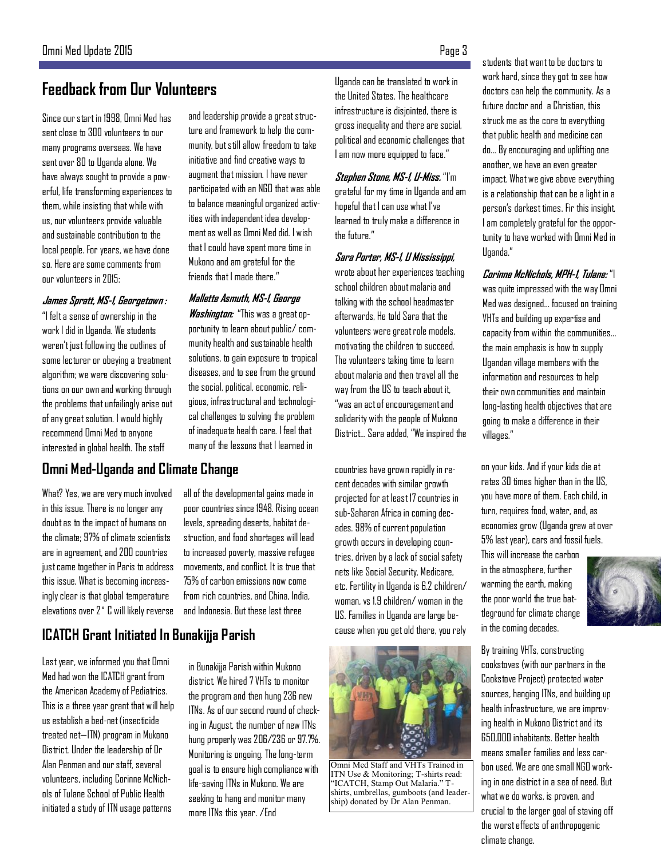# **Feedback from Our Volunteers**

Since our start in 1998, Omni Med has sent close to 300 volunteers to our many programs overseas. We have sent over 80 to Uganda alone. We have always sought to provide a powerful, life transforming experiences to them, while insisting that while with us, our volunteers provide valuable and sustainable contribution to the local people. For years, we have done so. Here are some comments from our volunteers in 2015:

#### **James Spratt, MS-1, Georgetown :**

"I felt a sense of ownership in the work I did in Uganda. We students weren't just following the outlines of some lecturer or obeying a treatment algorithm; we were discovering solutions on our own and working through the problems that unfailingly arise out of any great solution. I would highly recommend Omni Med to anyone interested in global health. The staff

and leadership provide a great structure and framework to help the community, but still allow freedom to take initiative and find creative ways to augment that mission. I have never participated with an NGO that was able to balance meaningful organized activities with independent idea development as well as Omni Med did. I wish that I could have spent more time in Mukono and am grateful for the friends that I made there."

#### **Mallette Asmuth, MS-1, George**

**Washington:** "This was a great opportunity to learn about public/ community health and sustainable health solutions, to gain exposure to tropical diseases, and to see from the ground the social, political, economic, religious, infrastructural and technological challenges to solving the problem of inadequate health care. I feel that many of the lessons that I learned in

#### **Omni Med-Uganda and Climate Change**

What? Yes, we are very much involved in this issue. There is no longer any doubt as to the impact of humans on the climate; 97% of climate scientists are in agreement, and 200 countries just came together in Paris to address this issue. What is becoming increasingly clear is that global temperature elevations over 2˚ C will likely reverse all of the developmental gains made in poor countries since 1948. Rising ocean

# **ICATCH Grant Initiated In Bunakijja Parish**

Last year, we informed you that Omni Med had won the ICATCH grant from the American Academy of Pediatrics. This is a three year grant that will help us establish a bed-net (insecticide treated net—ITN) program in Mukono District. Under the leadership of Dr Alan Penman and our staff, several volunteers, including Corinne McNichols of Tulane School of Public Health initiated a study of ITN usage patterns

levels, spreading deserts, habitat destruction, and food shortages will lead to increased poverty, massive refugee movements, and conflict. It is true that 75% of carbon emissions now come from rich countries, and China, India, and Indonesia. But these last three

in Bunakijja Parish within Mukono district. We hired 7 VHTs to monitor the program and then hung 236 new ITNs. As of our second round of checking in August, the number of new ITNs hung properly was 206/236 or 97.7%. Monitoring is ongoing. The long-term goal is to ensure high compliance with life-saving ITNs in Mukono. We are seeking to hang and monitor many more ITNs this year. /End

Uganda can be translated to work in the United States. The healthcare infrastructure is disjointed, there is gross inequality and there are social, political and economic challenges that I am now more equipped to face."

**Stephen Stone, MS-1, U-Miss.** "I'm grateful for my time in Uganda and am hopeful that I can use what I've learned to truly make a difference in the future."

**Sara Porter, MS-1, U Mississippi,**  wrote about her experiences teaching school children about malaria and talking with the school headmaster afterwards, He told Sara that the volunteers were great role models, motivating the children to succeed. The volunteers taking time to learn about malaria and then travel all the way from the US to teach about it, "was an act of encouragement and solidarity with the people of Mukono District… Sara added, "We inspired the

countries have grown rapidly in recent decades with similar growth projected for at least 17 countries in sub-Saharan Africa in coming decades. 98% of current population growth occurs in developing countries, driven by a lack of social safety nets like Social Security, Medicare, etc. Fertility in Uganda is 6.2 children/ woman, vs 1.9 children/ woman in the US. Families in Uganda are large because when you get old there, you rely



Omni Med Staff and VHTs Trained in ITN Use & Monitoring; T-shirts read: "ICATCH, Stamp Out Malaria." Tshirts, umbrellas, gumboots (and leadership) donated by Dr Alan Penman.

students that want to be doctors to work hard, since they got to see how doctors can help the community. As a future doctor and a Christian, this struck me as the core to everything that public health and medicine can do… By encouraging and uplifting one another, we have an even greater impact. What we give above everything is a relationship that can be a light in a person's darkest times. Fir this insight, I am completely grateful for the opportunity to have worked with Omni Med in Uganda."

**Corinne McNichols, MPH-1, Tulane:** "I was quite impressed with the way Omni Med was designed… focused on training VHTs and building up expertise and capacity from within the communities… the main emphasis is how to supply Ugandan village members with the information and resources to help their own communities and maintain long-lasting health objectives that are going to make a difference in their villages."

on your kids. And if your kids die at rates 30 times higher than in the US, you have more of them. Each child, in turn, requires food, water, and, as economies grow (Uganda grew at over 5% last year), cars and fossil fuels.

This will increase the carbon in the atmosphere, further warming the earth, making the poor world the true battleground for climate change in the coming decades.



By training VHTs, constructing cookstoves (with our partners in the Cookstove Project) protected water sources, hanging ITNs, and building up health infrastructure, we are improving health in Mukono District and its 650,000 inhabitants. Better health means smaller families and less carbon used. We are one small NGO working in one district in a sea of need. But what we do works, is proven, and crucial to the larger goal of staving off the worst effects of anthropogenic climate change.